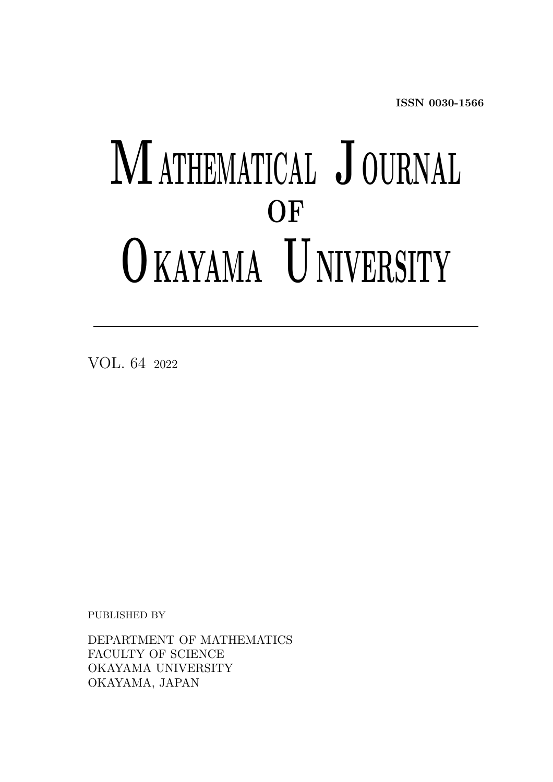ISSN 0030-1566

# MATHEMATICAL JOURNAL OF O KAYAMA U NIVERSITY

VOL. 64 <sup>2022</sup>

PUBLISHED BY

DEPARTMENT OF MATHEMATICS FACULTY OF SCIENCE OKAYAMA UNIVERSITY OKAYAMA, JAPAN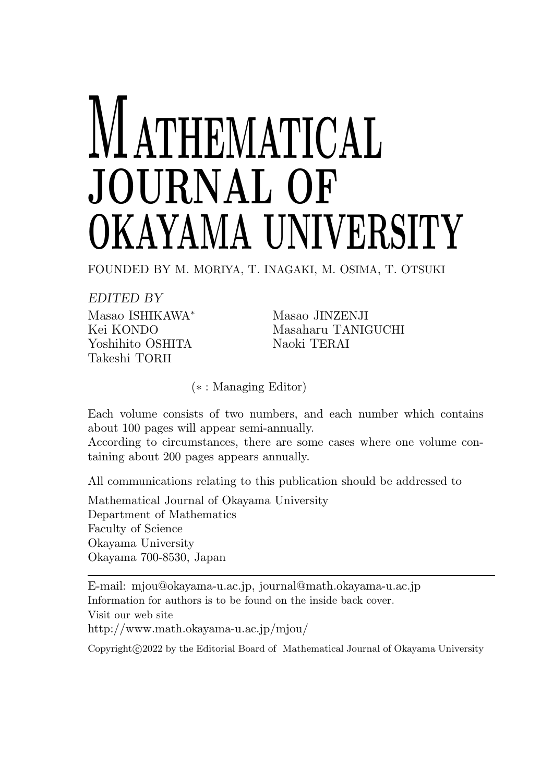# **ATHEMATICAL** JOURNAL OF OKAYAMA UNIVERSITY

FOUNDED BY M. MORIYA, T. INAGAKI, M. OSIMA, T. OTSUKI

EDITED BY Masao ISHIKAWA<sup>∗</sup> Masao JINZENJI Yoshihito OSHITA Naoki TERAI Takeshi TORII

Kei KONDO Masaharu TANIGUCHI

(∗ : Managing Editor)

Each volume consists of two numbers, and each number which contains about 100 pages will appear semi-annually.

According to circumstances, there are some cases where one volume containing about 200 pages appears annually.

All communications relating to this publication should be addressed to

Mathematical Journal of Okayama University Department of Mathematics Faculty of Science Okayama University Okayama 700-8530, Japan

E-mail: mjou@okayama-u.ac.jp, journal@math.okayama-u.ac.jp Information for authors is to be found on the inside back cover. Visit our web site http://www.math.okayama-u.ac.jp/mjou/

Copyright  $\odot$  2022 by the Editorial Board of Mathematical Journal of Okayama University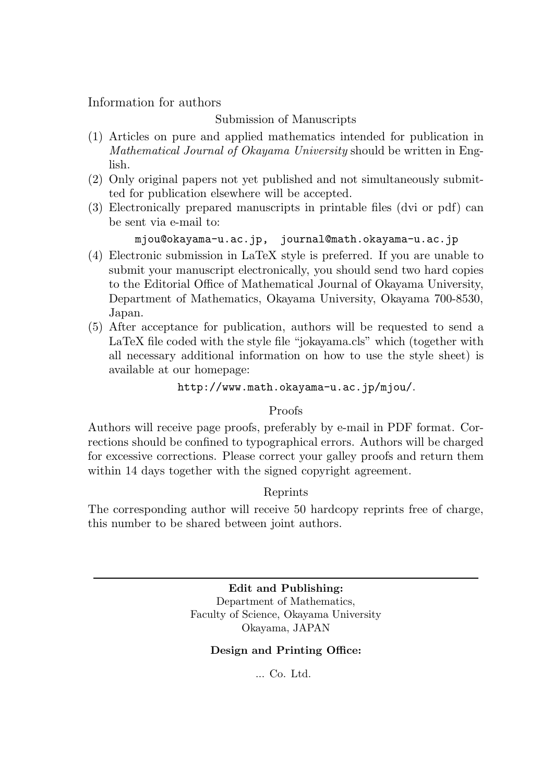Information for authors

#### Submission of Manuscripts

- (1) Articles on pure and applied mathematics intended for publication in Mathematical Journal of Okayama University should be written in English.
- (2) Only original papers not yet published and not simultaneously submitted for publication elsewhere will be accepted.
- (3) Electronically prepared manuscripts in printable files (dvi or pdf) can be sent via e-mail to:

#### mjou@okayama-u.ac.jp, journal@math.okayama-u.ac.jp

- (4) Electronic submission in LaTeX style is preferred. If you are unable to submit your manuscript electronically, you should send two hard copies to the Editorial Office of Mathematical Journal of Okayama University, Department of Mathematics, Okayama University, Okayama 700-8530, Japan.
- (5) After acceptance for publication, authors will be requested to send a LaTeX file coded with the style file "jokayama.cls" which (together with all necessary additional information on how to use the style sheet) is available at our homepage:

http://www.math.okayama-u.ac.jp/mjou/.

#### Proofs

Authors will receive page proofs, preferably by e-mail in PDF format. Corrections should be confined to typographical errors. Authors will be charged for excessive corrections. Please correct your galley proofs and return them within 14 days together with the signed copyright agreement.

#### Reprints

The corresponding author will receive 50 hardcopy reprints free of charge, this number to be shared between joint authors.

> Edit and Publishing: Department of Mathematics, Faculty of Science, Okayama University Okayama, JAPAN

#### Design and Printing Office:

... Co. Ltd.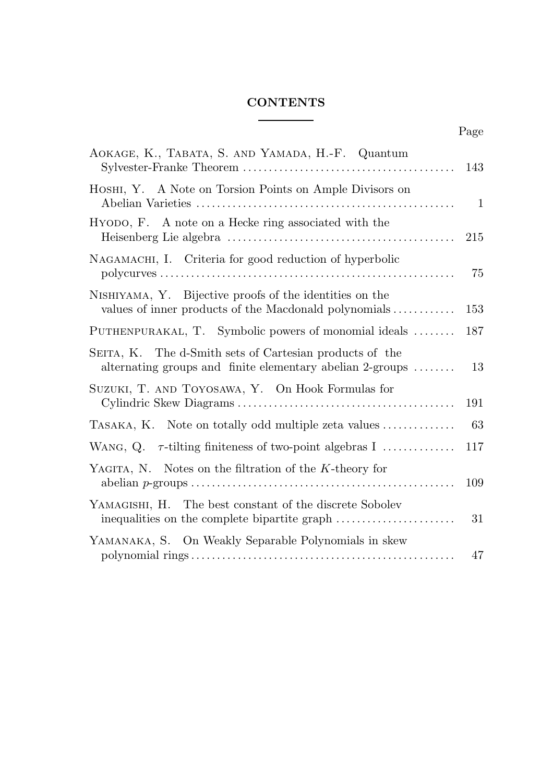#### CONTENTS

| AOKAGE, K., TABATA, S. AND YAMADA, H.-F. Quantum                                                                                  | 143          |
|-----------------------------------------------------------------------------------------------------------------------------------|--------------|
| HOSHI, Y. A Note on Torsion Points on Ample Divisors on                                                                           | $\mathbf{1}$ |
| HYODO, F. A note on a Hecke ring associated with the                                                                              | 215          |
| NAGAMACHI, I. Criteria for good reduction of hyperbolic                                                                           | 75           |
| NISHIYAMA, Y. Bijective proofs of the identities on the<br>values of inner products of the Macdonald polynomials                  | 153          |
| PUTHENPURAKAL, T. Symbolic powers of monomial ideals                                                                              | 187          |
| SEITA, K. The d-Smith sets of Cartesian products of the<br>alternating groups and finite elementary abelian 2-groups $\dots\dots$ | 13           |
| SUZUKI, T. AND TOYOSAWA, Y. On Hook Formulas for                                                                                  | 191          |
| TASAKA, K. Note on totally odd multiple zeta values                                                                               | 63           |
| WANG, Q. $\tau$ -tilting finiteness of two-point algebras I                                                                       | 117          |
| YAGITA, N. Notes on the filtration of the $K$ -theory for                                                                         | 109          |
| YAMAGISHI, H. The best constant of the discrete Sobolev                                                                           | 31           |
| YAMANAKA, S. On Weakly Separable Polynomials in skew                                                                              | 47           |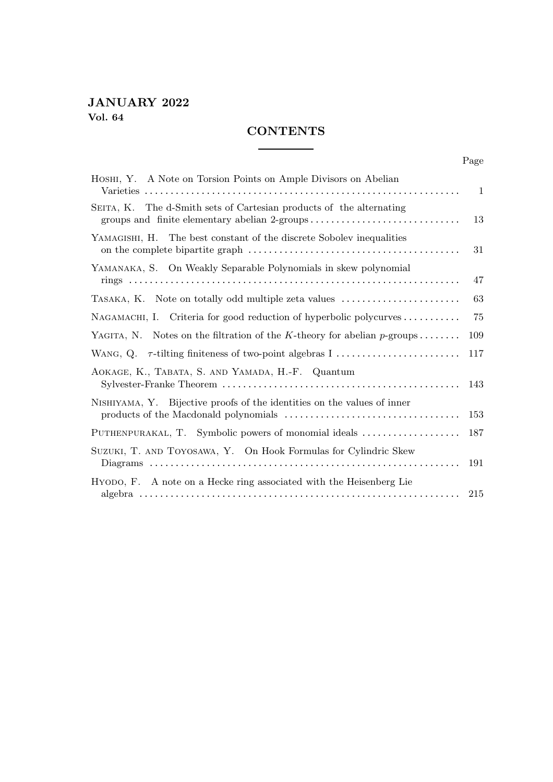#### JANUARY 2022 Vol. 64

#### **CONTENTS**

Page

| HOSHI, Y. A Note on Torsion Points on Ample Divisors on Abelian                                                      | 1   |
|----------------------------------------------------------------------------------------------------------------------|-----|
| SEITA, K. The d-Smith sets of Cartesian products of the alternating<br>groups and finite elementary abelian 2-groups | 13  |
| YAMAGISHI, H. The best constant of the discrete Sobolev inequalities                                                 | 31  |
| YAMANAKA, S. On Weakly Separable Polynomials in skew polynomial                                                      | 47  |
| TASAKA, K. Note on totally odd multiple zeta values                                                                  | 63  |
| NAGAMACHI, I. Criteria for good reduction of hyperbolic polycurves $\dots\dots\dots$                                 | 75  |
| YAGITA, N. Notes on the filtration of the K-theory for abelian $p$ -groups                                           | 109 |
| WANG, Q. $\tau$ -tilting finiteness of two-point algebras I                                                          | 117 |
| AOKAGE, K., TABATA, S. AND YAMADA, H.-F. Quantum                                                                     | 143 |
| NISHIYAMA, Y. Bijective proofs of the identities on the values of inner                                              | 153 |
| PUTHENPURAKAL, T. Symbolic powers of monomial ideals                                                                 | 187 |
| SUZUKI, T. AND TOYOSAWA, Y. On Hook Formulas for Cylindric Skew                                                      | 191 |
| HYODO, F. A note on a Hecke ring associated with the Heisenberg Lie                                                  | 215 |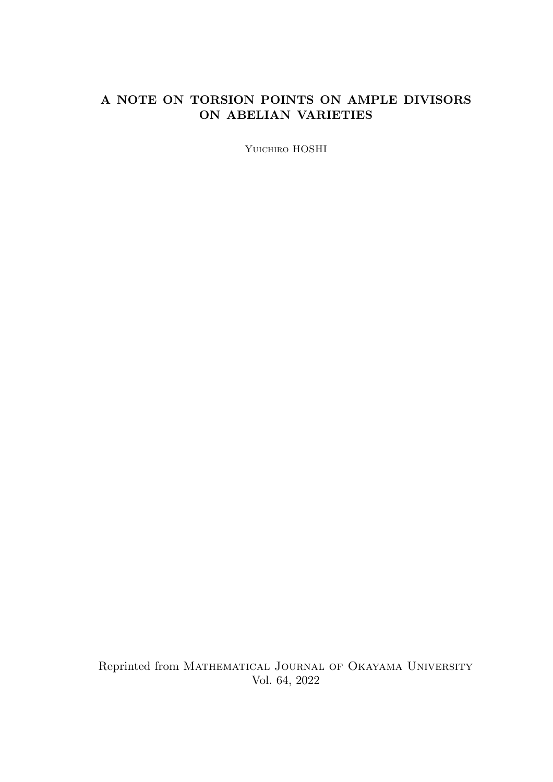### A NOTE ON TORSION POINTS ON AMPLE DIVISORS ON ABELIAN VARIETIES

YUICHIRO HOSHI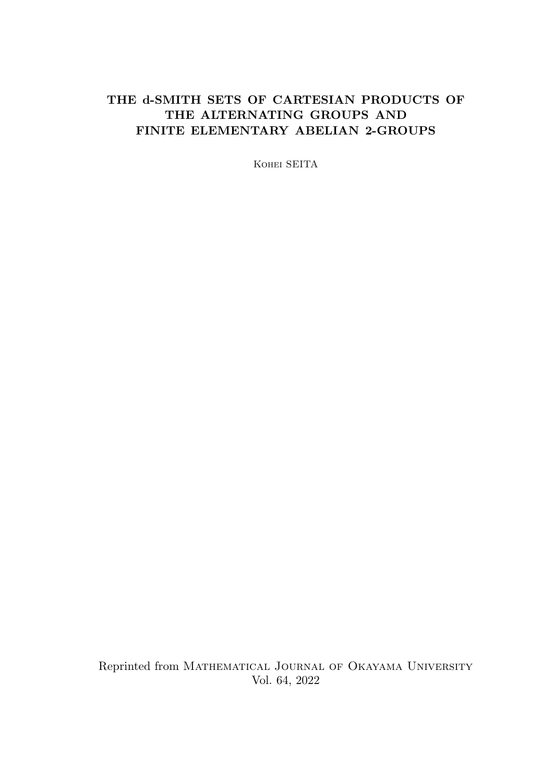# THE d-SMITH SETS OF CARTESIAN PRODUCTS OF THE ALTERNATING GROUPS AND FINITE ELEMENTARY ABELIAN 2-GROUPS

Kohei SEITA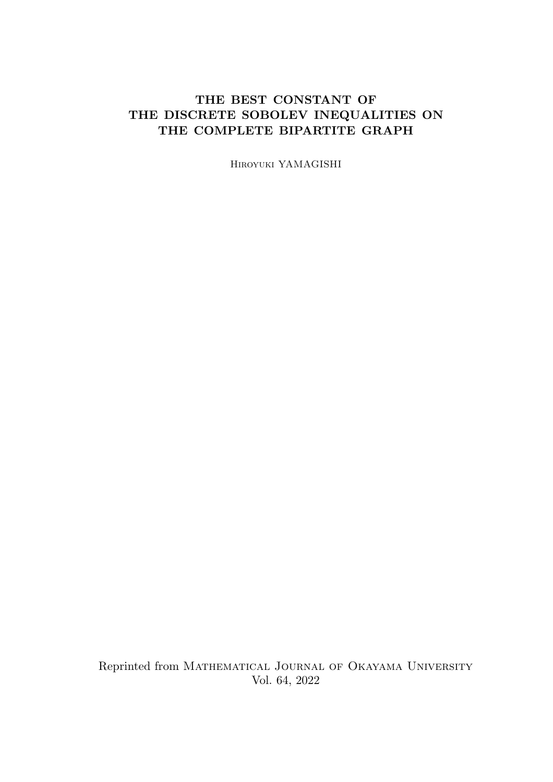# THE BEST CONSTANT OF THE DISCRETE SOBOLEV INEQUALITIES ON THE COMPLETE BIPARTITE GRAPH

Hiroyuki YAMAGISHI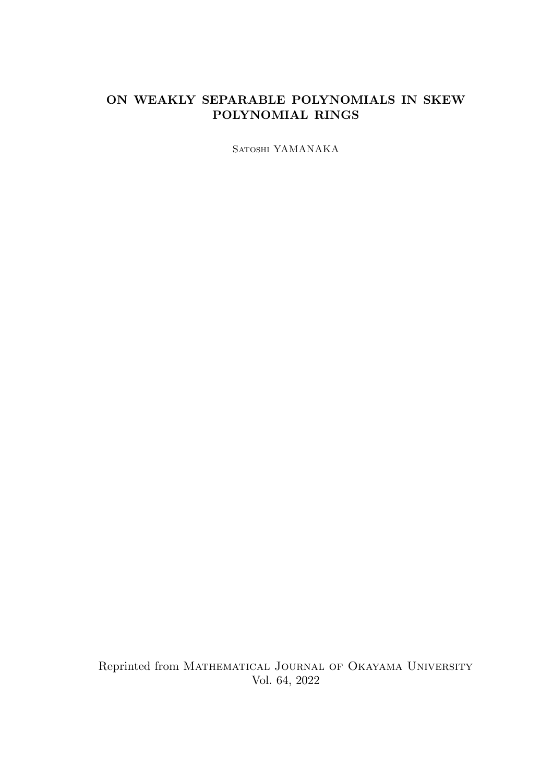#### ON WEAKLY SEPARABLE POLYNOMIALS IN SKEW POLYNOMIAL RINGS

Satoshi YAMANAKA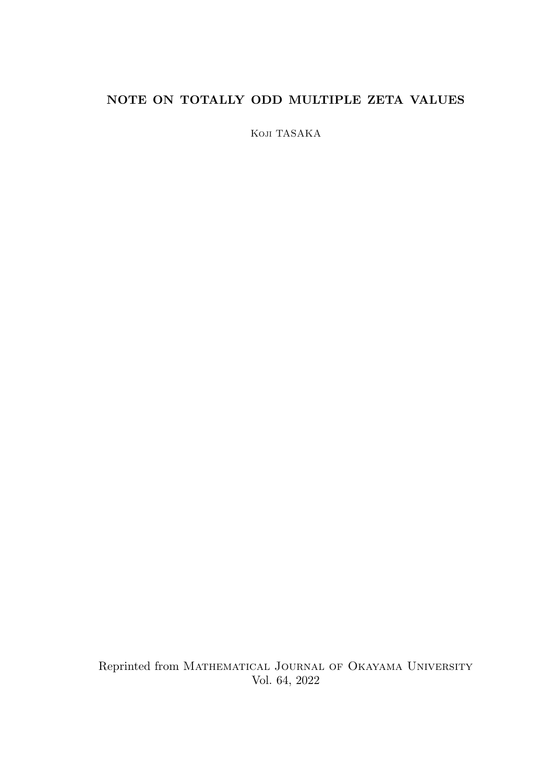# NOTE ON TOTALLY ODD MULTIPLE ZETA VALUES

Koji TASAKA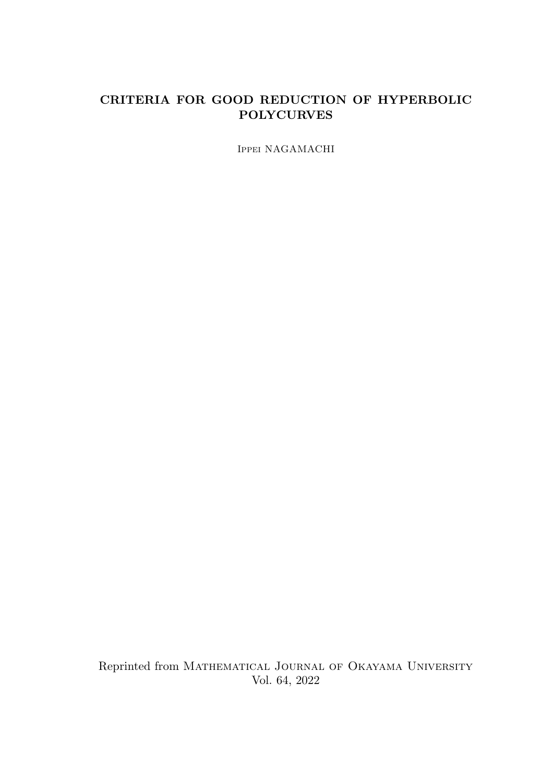#### CRITERIA FOR GOOD REDUCTION OF HYPERBOLIC POLYCURVES

Ippei NAGAMACHI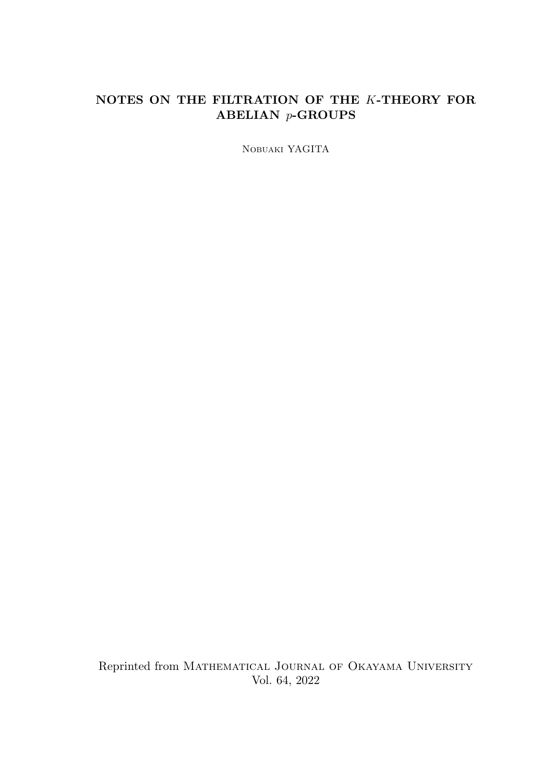# NOTES ON THE FILTRATION OF THE K-THEORY FOR ABELIAN p-GROUPS

Nobuaki YAGITA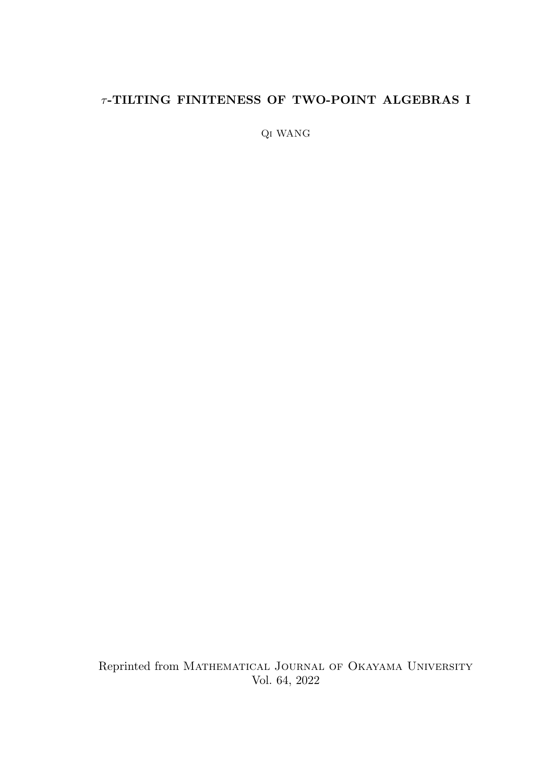# $\tau$ -TILTING FINITENESS OF TWO-POINT ALGEBRAS I

Qi WANG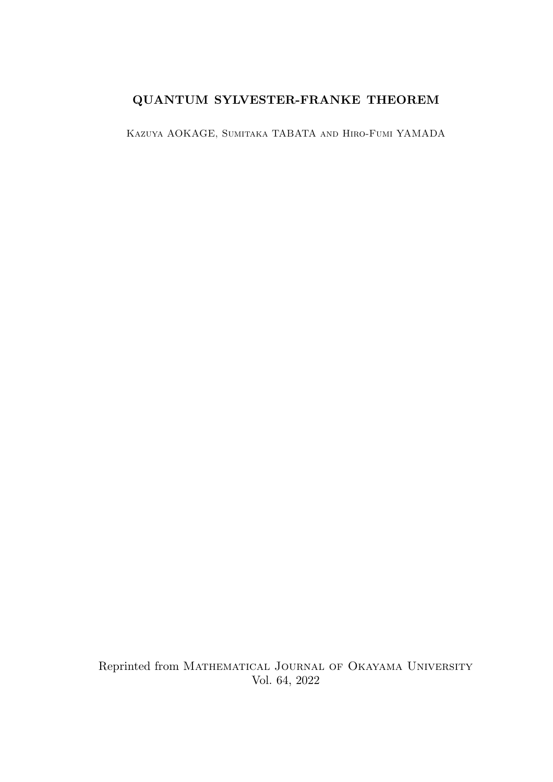# QUANTUM SYLVESTER-FRANKE THEOREM

Kazuya AOKAGE, Sumitaka TABATA and Hiro-Fumi YAMADA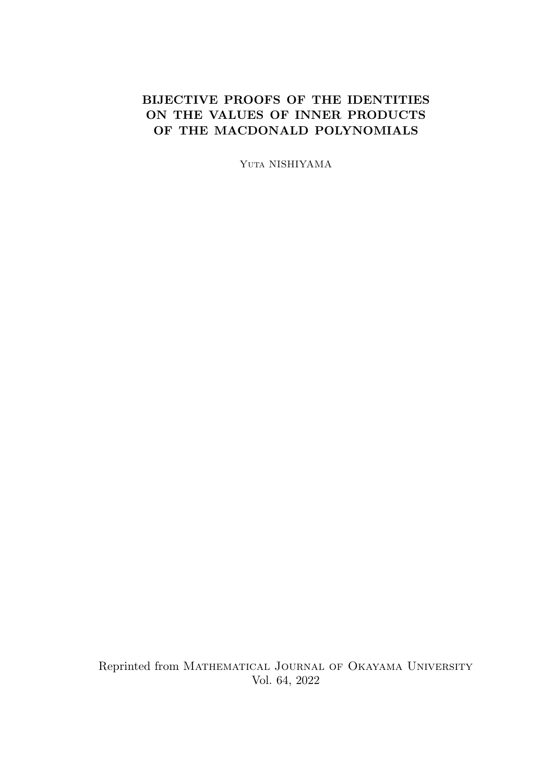## BIJECTIVE PROOFS OF THE IDENTITIES ON THE VALUES OF INNER PRODUCTS OF THE MACDONALD POLYNOMIALS

Yuta NISHIYAMA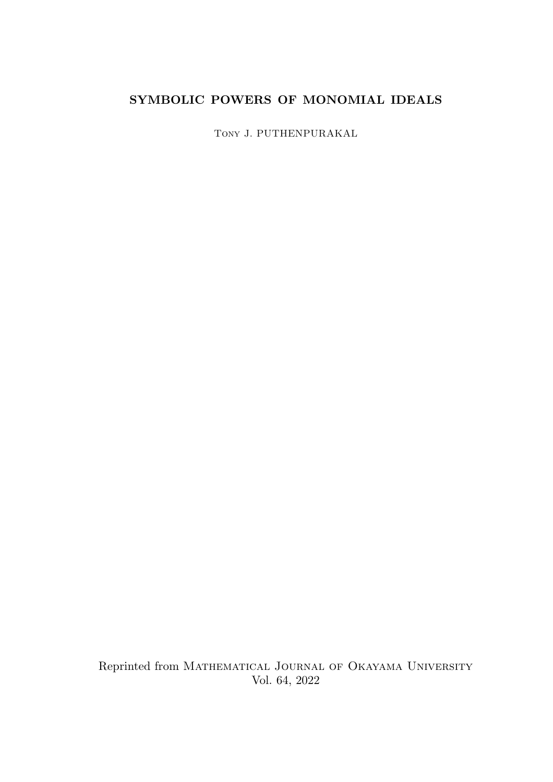# SYMBOLIC POWERS OF MONOMIAL IDEALS

Tony J. PUTHENPURAKAL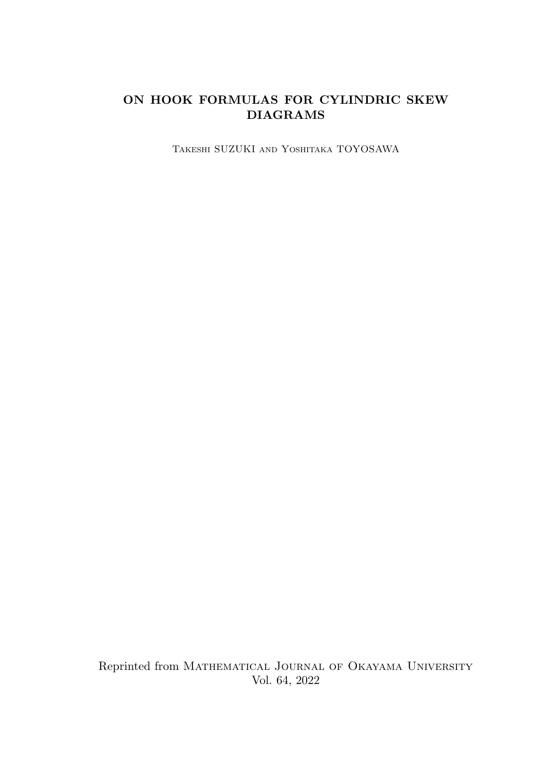# ON HOOK FORMULAS FOR CYLINDRIC SKEW DIAGRAMS

Takeshi SUZUKI and Yoshitaka TOYOSAWA